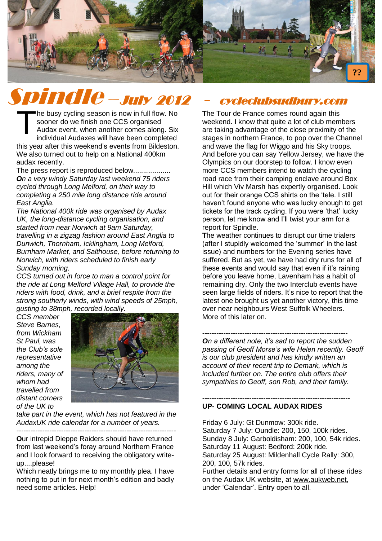

# Spindle –July 2012 - cycleclubsudbury.com

he busy cycling season is now in full flow. No sooner do we finish one CCS organised Audax event, when another comes along. Six individual Audaxes will have been completed this year after this weekend's events from Bildeston. We also turned out to help on a National 400km audax recently. T

The press report is reproduced below................... *On a very windy Saturday last weekend 75 riders cycled through Long Melford, on their way to completing a 250 mile long distance ride around East Anglia.*

*The National 400k ride was organised by Audax UK, the long-distance cycling organisation, and started from near Norwich at 9am Saturday, travelling in a zigzag fashion around East Anglia to Dunwich, Thornham, Icklingham, Long Melford, Burnham Market, and Salthouse, before returning to Norwich, with riders scheduled to finish early Sunday morning.*

*CCS turned out in force to man a control point for the ride at Long Melford Village Hall, to provide the riders with food, drink, and a brief respite from the strong southerly winds, with wind speeds of 25mph, gusting to 38mph, recorded locally.* 

*CCS member Steve Barnes, from Wickham St Paul, was the Club's sole representative among the riders, many of whom had travelled from distant corners of the UK to* 



*take part in the event, which has not featured in the AudaxUK ride calendar for a number of years.*

*--------------------------------------------------------------------*

**O**ur intrepid Dieppe Raiders should have returned from last weekend's foray around Northern France and I look forward to receiving the obligatory writeup....please!

Which neatly brings me to my monthly plea. I have nothing to put in for next month's edition and badly need some articles. Help!

**T**he Tour de France comes round again this weekend. I know that quite a lot of club members are taking advantage of the close proximity of the stages in northern France, to pop over the Channel and wave the flag for Wiggo and his Sky troops. And before you can say Yellow Jersey, we have the Olympics on our doorstep to follow. I know even more CCS members intend to watch the cycling road race from their camping enclave around Box Hill which Viv Marsh has expertly organised. Look out for their orange CCS shirts on the 'tele. I still haven't found anyone who was lucky enough to get tickets for the track cycling. If you were 'that' lucky person, let me know and I'll twist your arm for a report for Spindle.

**T**he weather continues to disrupt our time trialers (after I stupidly welcomed the 'summer' in the last issue) and numbers for the Evening series have suffered. But as yet, we have had dry runs for all of these events and would say that even if it's raining before you leave home, Lavenham has a habit of remaining dry. Only the two Interclub events have seen large fields of riders. It's nice to report that the latest one brought us yet another victory, this time over near neighbours West Suffolk Wheelers. More of this later on.

-------------------------------------------------------------- *On a different note, it's sad to report the sudden passing of Geoff Morse's wife Helen recently. Geoff is our club president and has kindly written an account of their recent trip to Demark, which is included further on. The entire club offers their sympathies to Geoff, son Rob, and their family.*

#### --------------------------------------------------------------- **UP- COMING LOCAL AUDAX RIDES**

Friday 6 July: Gt Dunmow: 300k ride. Saturday 7 July: Oundle: 200, 150, 100k rides. Sunday 8 July: Garboldisham: 200, 100, 54k rides. Saturday 11 August: Bedford: 200k ride. Saturday 25 August: Mildenhall Cycle Rally: 300, 200, 100, 57k rides. Further details and entry forms for all of these rides on the Audax UK website, at [www.aukweb.net,](http://www.aukweb.net/index2.htm) under 'Calendar'. Entry open to all.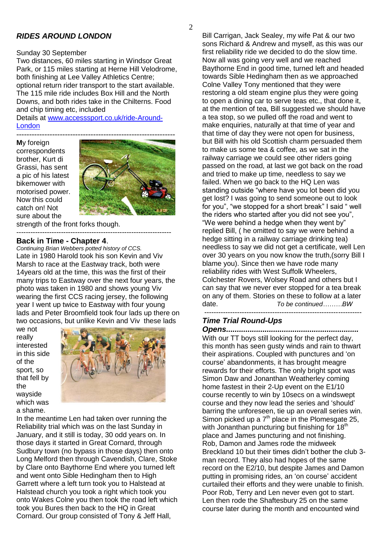# *RIDES AROUND LONDON*

#### Sunday 30 September

Two distances, 60 miles starting in Windsor Great Park, or 115 miles starting at Herne Hill Velodrome, both finishing at Lee Valley Athletics Centre; optional return rider transport to the start available. The 115 mile ride includes Box Hill and the North Downs, and both rides take in the Chilterns. Food and chip timing etc, included

Details at [www.accesssport.co.uk/ride-Around-](http://www.accesssport.co.uk/ride-Around-London)[London](http://www.accesssport.co.uk/ride-Around-London)

**M**y foreign correspondents brother, Kurt di Grassi, has sent a pic of his latest bikemower with motorised power. Now this could catch on! Not sure about the



strength of the front forks though.

#### ------------------------------------------------------------------ **Back in Time - Chapter 4**.

*Continuing Brian Webbers potted history of CCS.* Late in 1980 Harold took his son Kevin and Viv Marsh to race at the Eastway track, both were 14years old at the time, this was the first of their many trips to Eastway over the next four years, the photo was taken in 1980 and shows young Viv wearing the first CCS racing jersey, the following year I went up twice to Eastway with four young lads and Peter Broomfield took four lads up there on two occasions, but unlike Kevin and Viv these lads

we not really interested in this side of the sport, so that fell by the wayside which was a shame.



In the meantime Len had taken over running the Reliability trial which was on the last Sunday in January, and it still is today, 30 odd years on. In those days it started in Great Cornard, through Sudbury town (no bypass in those days) then onto Long Melford then through Cavendish, Clare, Stoke by Clare onto Baythorne End where you turned left and went onto Sible Hedingham then to High Garrett where a left turn took you to Halstead at Halstead church you took a right which took you onto Wakes Colne you then took the road left which took you Bures then back to the HQ in Great Cornard. Our group consisted of Tony & Jeff Hall,

Bill Carrigan, Jack Sealey, my wife Pat & our two sons Richard & Andrew and myself, as this was our first reliability ride we decided to do the slow time. Now all was going very well and we reached Baythorne End in good time, turned left and headed towards Sible Hedingham then as we approached Colne Valley Tony mentioned that they were restoring a old steam engine plus they were going to open a dining car to serve teas etc., that done it, at the mention of tea, Bill suggested we should have a tea stop, so we pulled off the road and went to make enquiries, naturally at that time of year and that time of day they were not open for business, but Bill with his old Scottish charm persuaded them to make us some tea & coffee, as we sat in the railway carriage we could see other riders going passed on the road, at last we got back on the road and tried to make up time, needless to say we failed. When we go back to the HQ Len was standing outside "where have you lot been did you get lost? I was going to send someone out to look for you", "we stopped for a short break" I said " well the riders who started after you did not see you", "We were behind a hedge when they went by" replied Bill, ( he omitted to say we were behind a hedge sitting in a railway carriage drinking tea) needless to say we did not get a certificate, well Len over 30 years on you now know the truth,(sorry Bill I blame you). Since then we have rode many reliability rides with West Suffolk Wheelers, Colchester Rovers, Wolsey Road and others but I can say that we never ever stopped for a tea break on any of them. Stories on these to follow at a later date. *To be continued………BW*

-------------------------------------------------------------------

# *Time Trial Round-Ups*

*Opens..............................................................* With our TT boys still looking for the perfect day, this month has seen gusty winds and rain to thwart their aspirations. Coupled with punctures and 'on course' abandonments, it has brought meagre rewards for their efforts. The only bright spot was Simon Daw and Jonanthan Weatherley coming home fastest in their 2-Up event on the E1/10 course recently to win by 10secs on a windswept course and they now lead the series and 'should' barring the unforeseen, tie up an overall series win. Simon picked up a  $7<sup>th</sup>$  place in the Plomesgate 25, with Jonanthan puncturing but finishing for  $18<sup>th</sup>$ place and James puncturing and not finishing. Rob, Damon and James rode the midweek Breckland 10 but their times didn't bother the club 3 man record. They also had hopes of the same record on the E2/10, but despite James and Damon putting in promising rides, an 'on course' accident curtailed their efforts and they were unable to finish. Poor Rob, Terry and Len never even got to start. Len then rode the Shaftesbury 25 on the same course later during the month and encounted wind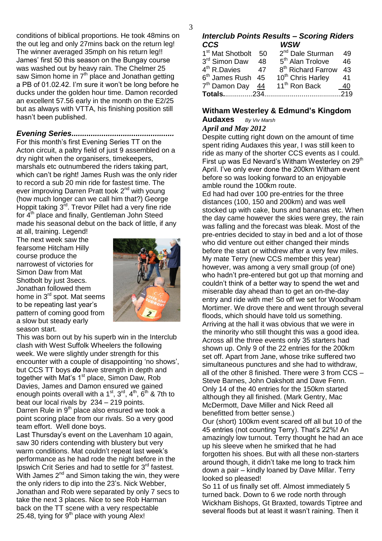conditions of biblical proportions. He took 48mins on the out leg and only 27mins back on the return leg! The winner averaged 35mph on his return leg!! James' first 50 this season on the Bungay course was washed out by heavy rain. The Chelmer 25 saw Simon home in  $7<sup>th</sup>$  place and Jonathan getting a PB of 01.02.42. I'm sure it won't be long before he ducks under the golden hour time. Damon recorded an excellent 57.56 early in the month on the E2/25 but as always with VTTA, his finishing position still hasn't been published.

# *Evening Series................................................*

For this month's first Evening Series TT on the Acton circuit, a paltry field of just 9 assembled on a dry night when the organisers, timekeepers, marshals etc outnumbered the riders taking part, which can't be right! James Rush was the only rider to record a sub 20 min ride for fastest time. The ever improving Darren Pratt took 2<sup>nd</sup> with young (how much longer can we call him that?) George Hoppit taking  $3^{\bar{r}d}$ . Trevor Pillet had a very fine ride for 4<sup>th</sup> place and finally, Gentleman John Steed made his seasonal debut on the back of little, if any

at all, training. Legend! The next week saw the fearsome Hitcham Hilly course produce the narrowest of victories for Simon Daw from Mat Shotbolt by just 3secs. Jonathan followed them home in 3<sup>rd</sup> spot. Mat seems to be repeating last year's pattern of coming good from a slow but steady early season start.



This was born out by his superb win in the Interclub clash with West Suffolk Wheelers the following week. We were slightly under strength for this encounter with a couple of disappointing 'no shows', but CCS TT boys *do* have strength in depth and together with Mat's 1<sup>st</sup> place, Simon Daw, Rob Davies, James and Damon ensured we gained enough points overall with a  $1<sup>st</sup>$ ,  $3<sup>rd</sup>$ ,  $4<sup>th</sup>$ ,  $6<sup>th</sup>$  & 7th to beat our local rivals by 234 – 219 points. Darren Rule in 9<sup>th</sup> place also ensured we took a point scoring place from our rivals. So a very good team effort. Well done boys.

Last Thursday's event on the Lavenham 10 again, saw 30 riders contending with blustery but very warm conditions. Mat couldn't repeat last week's performance as he had rode the night before in the Ipswich Crit Series and had to settle for 3<sup>rd</sup> fastest. With James  $2^{nd}$  and Simon taking the win, they were the only riders to dip into the 23's. Nick Webber, Jonathan and Rob were separated by only 7 secs to take the next 3 places. Nice to see Rob Harman back on the TT scene with a very respectable 25.48, tying for  $9<sup>th</sup>$  place with young Alex!

#### *Interclub Points Results – Scoring Riders CCS WSW*

| 1 <sup>st</sup> Mat Shotbolt | 50   | 2 <sup>nd</sup> Dale Sturman   | 49 |
|------------------------------|------|--------------------------------|----|
| 3rd Simon Daw                | 48   | 5 <sup>th</sup> Alan Trolove   | 46 |
| 4 <sup>th</sup> R.Davies     | 47   | 8 <sup>th</sup> Richard Farrow | 43 |
| 6 <sup>th</sup> James Rush   | 45   | 10 <sup>th</sup> Chris Harley  | 41 |
| 7 <sup>th</sup> Damon Day    | - 44 | 11 <sup>th</sup> Ron Back      | 40 |
| <b>Totals234</b>             |      |                                |    |
|                              |      |                                |    |

## **Witham Westerley & Edmund's Kingdom**

**Audaxes** *By Viv Marsh*

# *April and May 2012*

Despite cutting right down on the amount of time spent riding Audaxes this year, I was still keen to ride as many of the shorter CCS events as I could. First up was Ed Nevard's Witham Westerley on 29<sup>th</sup> April. I've only ever done the 200km Witham event before so was looking forward to an enjoyable amble round the 100km route.

Ed had had over 100 pre-entries for the three distances (100, 150 and 200km) and was well stocked up with cake, buns and bananas etc. When the day came however the skies were grey, the rain was falling and the forecast was bleak. Most of the pre-entries decided to stay in bed and a lot of those who did venture out either changed their minds before the start or withdrew after a very few miles. My mate Terry (new CCS member this year) however, was among a very small group (of one) who hadn't pre-entered but got up that morning and couldn't think of a better way to spend the wet and miserable day ahead than to get an on-the-day entry and ride with me! So off we set for Woodham Mortimer. We drove there and went through several floods, which should have told us something. Arriving at the hall it was obvious that we were in the minority who still thought this was a good idea. Across all the three events only 35 starters had shown up. Only 9 of the 22 entries for the 200km set off. Apart from Jane, whose trike suffered two simultaneous punctures and she had to withdraw, all of the other 8 finished. There were 3 from CCS – Steve Barnes, John Oakshott and Dave Fenn. Only 14 of the 40 entries for the 150km started although they all finished. (Mark Gentry, Mac McDermott, Dave Miller and Nick Reed all benefitted from better sense.)

Our (short) 100km event scared off all but 10 of the 45 entries (not counting Terry). That's 22%! An amazingly low turnout. Terry thought he had an ace up his sleeve when he smirked that he had forgotten his shoes. But with all these non-starters around though, it didn't take me long to track him down a pair – kindly loaned by Dave Millar. Terry looked so pleased!

So 11 of us finally set off. Almost immediately 5 turned back. Down to 6 we rode north through Wickham Bishops, Gt Braxted, towards Tiptree and several floods but at least it wasn't raining. Then it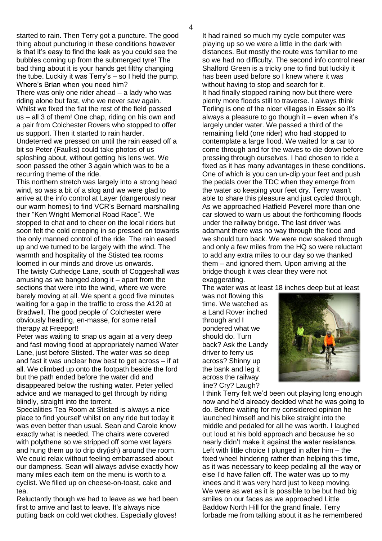4

started to rain. Then Terry got a puncture. The good thing about puncturing in these conditions however is that it's easy to find the leak as you could see the bubbles coming up from the submerged tyre! The bad thing about it is your hands get filthy changing the tube. Luckily it was Terry's – so I held the pump. Where's Brian when you need him?

There was only one rider ahead – a lady who was riding alone but fast, who we never saw again. Whilst we fixed the flat the rest of the field passed us – all 3 of them! One chap, riding on his own and a pair from Colchester Rovers who stopped to offer us support. Then it started to rain harder. Undeterred we pressed on until the rain eased off a bit so Peter (Faulks) could take photos of us sploshing about, without getting his lens wet. We soon passed the other 3 again which was to be a recurring theme of the ride.

This northern stretch was largely into a strong head wind, so was a bit of a slog and we were glad to arrive at the info control at Layer (dangerously near our warm homes) to find VCR's Bernard marshalling their "Ken Wright Memorial Road Race". We stopped to chat and to cheer on the local riders but soon felt the cold creeping in so pressed on towards the only manned control of the ride. The rain eased up and we turned to be largely with the wind. The warmth and hospitality of the Stisted tea rooms loomed in our minds and drove us onwards. The twisty Cuthedge Lane, south of Coggeshall was amusing as we banged along it – apart from the sections that were into the wind, where we were barely moving at all. We spent a good five minutes waiting for a gap in the traffic to cross the A120 at Bradwell. The good people of Colchester were obviously heading, en-masse, for some retail therapy at Freeport!

Peter was waiting to snap us again at a very deep and fast moving flood at appropriately named Water Lane, just before Stisted. The water was so deep and fast it was unclear how best to get across – if at all. We climbed up onto the footpath beside the ford but the path ended before the water did and disappeared below the rushing water. Peter yelled advice and we managed to get through by riding blindly, straight into the torrent.

Specialities Tea Room at Stisted is always a nice place to find yourself whilst on any ride but today it was even better than usual. Sean and Carole know exactly what is needed. The chairs were covered with polythene so we stripped off some wet layers and hung them up to drip dry(ish) around the room. We could relax without feeling embarrassed about our dampness. Sean will always advise exactly how many miles each item on the menu is worth to a cyclist. We filled up on cheese-on-toast, cake and tea.

Reluctantly though we had to leave as we had been first to arrive and last to leave. It's always nice putting back on cold wet clothes. Especially gloves!

It had rained so much my cycle computer was playing up so we were a little in the dark with distances. But mostly the route was familiar to me so we had no difficulty. The second info control near Shalford Green is a tricky one to find but luckily it has been used before so I knew where it was without having to stop and search for it. It had finally stopped raining now but there were plenty more floods still to traverse. I always think Terling is one of the nicer villages in Essex so it's always a pleasure to go though it – even when it's largely under water. We passed a third of the remaining field (one rider) who had stopped to contemplate a large flood. We waited for a car to come through and for the waves to die down before pressing through ourselves. I had chosen to ride a fixed as it has many advantages in these conditions. One of which is you can un-clip your feet and push the pedals over the TDC when they emerge from the water so keeping your feet dry. Terry wasn't able to share this pleasure and just cycled through. As we approached Hatfield Peverel more than one car slowed to warn us about the forthcoming floods under the railway bridge. The last driver was adamant there was no way through the flood and we should turn back. We were now soaked through and only a few miles from the HQ so were reluctant to add any extra miles to our day so we thanked them – and ignored them. Upon arriving at the bridge though it was clear they were not exaggerating.

The water was at least 18 inches deep but at least

was not flowing this time. We watched as a Land Rover inched through and I pondered what we should do. Turn back? Ask the Landy driver to ferry us across? Shinny up the bank and leg it across the railway line? Cry? Laugh?



I think Terry felt we'd been out playing long enough now and he'd already decided what he was going to do. Before waiting for my considered opinion he launched himself and his bike straight into the middle and pedaled for all he was worth. I laughed out loud at his bold approach and because he so nearly didn't make it against the water resistance. Left with little choice I plunged in after him – the fixed wheel hindering rather than helping this time, as it was necessary to keep pedaling all the way or else I'd have fallen off. The water was up to my knees and it was very hard just to keep moving. We were as wet as it is possible to be but had big smiles on our faces as we approached Little Baddow North Hill for the grand finale. Terry forbade me from talking about it as he remembered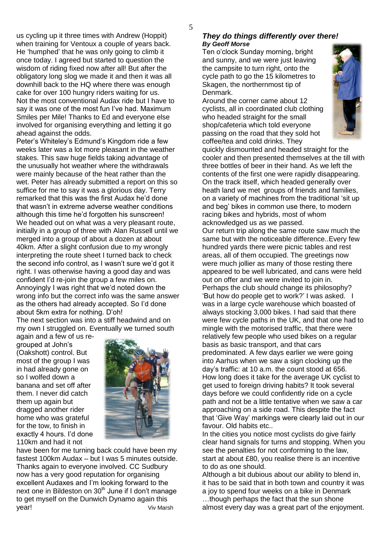us cycling up it three times with Andrew (Hoppit) when training for Ventoux a couple of years back. He 'humphed' that he was only going to climb it once today. I agreed but started to question the wisdom of riding fixed now after all! But after the obligatory long slog we made it and then it was all downhill back to the HQ where there was enough cake for over 100 hungry riders waiting for us. Not the most conventional Audax ride but I have to say it was one of the most fun I've had. Maximum Smiles per Mile! Thanks to Ed and everyone else involved for organising everything and letting it go ahead against the odds.

Peter's Whiteley's Edmund's Kingdom ride a few weeks later was a lot more pleasant in the weather stakes. This saw huge fields taking advantage of the unusually hot weather where the withdrawals were mainly because of the heat rather than the wet. Peter has already submitted a report on this so suffice for me to say it was a glorious day. Terry remarked that this was the first Audax he'd done that wasn't in extreme adverse weather conditions although this time he'd forgotten his sunscreen! We headed out on what was a very pleasant route. initially in a group of three with Alan Russell until we merged into a group of about a dozen at about 40km. After a slight confusion due to my wrongly interpreting the route sheet I turned back to check the second info control, as I wasn't sure we'd got it right. I was otherwise having a good day and was confident I'd re-join the group a few miles on. Annoyingly I was right that we'd noted down the wrong info but the correct info was the same answer as the others had already accepted. So I'd done about 5km extra for nothing. D'oh!

The next section was into a stiff headwind and on my own I struggled on. Eventually we turned south

again and a few of us regrouped at John's (Oakshott) control. But most of the group I was in had already gone on so I wolfed down a banana and set off after them. I never did catch them up again but dragged another rider home who was grateful for the tow, to finish in exactly 4 hours. I'd done 110km and had it not



have been for me turning back could have been my fastest 100km Audax – but I was 5 minutes outside. Thanks again to everyone involved. CC Sudbury now has a very good reputation for organising excellent Audaxes and I'm looking forward to the next one in Bildeston on 30<sup>th</sup> June if I don't manage to get myself on the Dunwich Dynamo again this year! Viv Marsh

#### *They do things differently over there! By Geoff Morse*

Ten o'clock Sunday morning, bright and sunny, and we were just leaving the campsite to turn right, onto the cycle path to go the 15 kilometres to Skagen, the northernmost tip of Denmark.

Around the corner came about 12 cyclists, all in coordinated club clothing who headed straight for the small shop/cafeteria which told everyone passing on the road that they sold hot coffee/tea and cold drinks. They



quickly dismounted and headed straight for the cooler and then presented themselves at the till with three bottles of beer in their hand. As we left the contents of the first one were rapidly disappearing. On the track itself, which headed generally over heath land we met groups of friends and families, on a variety of machines from the traditional 'sit up and beg' bikes in common use there, to modern racing bikes and hybrids, most of whom acknowledged us as we passed.

Our return trip along the same route saw much the same but with the noticeable difference..Every few hundred yards there were picnic tables and rest areas, all of them occupied. The greetings now were much jollier as many of those resting there appeared to be well lubricated, and cans were held out on offer and we were invited to join in. Perhaps the club should change its philosophy? 'But how do people get to work?' I was asked. I was in a large cycle warehouse which boasted of always stocking 3,000 bikes. I had said that there were few cycle paths in the UK, and that one had to mingle with the motorised traffic, that there were relatively few people who used bikes on a regular basis as basic transport, and that cars predominated. A few days earlier we were going into Aarhus when we saw a sign clocking up the day's traffic: at 10 a.m. the count stood at 656. How long does it take for the average UK cyclist to get used to foreign driving habits? It took several days before we could confidently ride on a cycle path and not be a little tentative when we saw a car approaching on a side road. This despite the fact that 'Give Way' markings were clearly laid out in our favour. Old habits etc..

In the cities you notice most cyclists do give fairly clear hand signals for turns and stopping. When you see the penalties for not conforming to the law, start at about £80, you realise there is an incentive to do as one should.

Although a bit dubious about our ability to blend in, it has to be said that in both town and country it was a joy to spend four weeks on a bike in Denmark …though perhaps the fact that the sun shone almost every day was a great part of the enjoyment.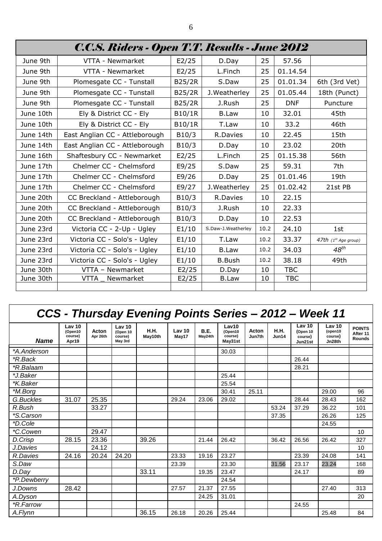| C.C.S. Riders - Open T.T. Results - June 2012 |                                |        |                    |      |            |                      |  |  |  |
|-----------------------------------------------|--------------------------------|--------|--------------------|------|------------|----------------------|--|--|--|
| June 9th                                      | VTTA - Newmarket               | E2/25  | D.Day              | 25   | 57.56      |                      |  |  |  |
| June 9th                                      | VTTA - Newmarket               | E2/25  | L.Finch            | 25   | 01.14.54   |                      |  |  |  |
| June 9th                                      | Plomesgate CC - Tunstall       | B25/2R | S.Daw              | 25   | 01.01.34   | 6th (3rd Vet)        |  |  |  |
| June 9th                                      | Plomesgate CC - Tunstall       | B25/2R | J. Weatherley      | 25   | 01.05.44   | 18th (Punct)         |  |  |  |
| June 9th                                      | Plomesgate CC - Tunstall       | B25/2R | J.Rush             | 25   | <b>DNF</b> | Puncture             |  |  |  |
| June 10th                                     | Ely & District CC - Ely        | B10/1R | <b>B.Law</b>       | 10   | 32.01      | 45th                 |  |  |  |
| June 10th                                     | Ely & District CC - Ely        | B10/1R | T.Law              | 10   | 33.2       | 46th                 |  |  |  |
| June 14th                                     | East Anglian CC - Attleborough | B10/3  | R.Davies           | 10   | 22.45      | 15th                 |  |  |  |
| June 14th                                     | East Anglian CC - Attleborough | B10/3  | D.Day              | 10   | 23.02      | 20th                 |  |  |  |
| June 16th                                     | Shaftesbury CC - Newmarket     | E2/25  | L.Finch            | 25   | 01.15.38   | 56th                 |  |  |  |
| June 17th                                     | Chelmer CC - Chelmsford        | E9/25  | S.Daw              | 25   | 59.31      | 7th                  |  |  |  |
| June 17th                                     | Chelmer CC - Chelmsford        | E9/26  | D.Day              | 25   | 01.01.46   | 19th                 |  |  |  |
| June 17th                                     | Chelmer CC - Chelmsford        | E9/27  | J. Weatherley      | 25   | 01.02.42   | 21st PB              |  |  |  |
| June 20th                                     | CC Breckland - Attleborough    | B10/3  | R.Davies           | 10   | 22.15      |                      |  |  |  |
| June 20th                                     | CC Breckland - Attleborough    | B10/3  | J.Rush             | 10   | 22.33      |                      |  |  |  |
| June 20th                                     | CC Breckland - Attleborough    | B10/3  | D.Day              | 10   | 22.53      |                      |  |  |  |
| June 23rd                                     | Victoria CC - 2-Up - Ugley     | E1/10  | S.Daw-J.Weatherley | 10.2 | 24.10      | 1st                  |  |  |  |
| June 23rd                                     | Victoria CC - Solo's - Ugley   | E1/10  | T.Law              | 10.2 | 33.37      | 47th (1st Age group) |  |  |  |
| June 23rd                                     | Victoria CC - Solo's - Ugley   | E1/10  | <b>B.Law</b>       | 10.2 | 34.03      | $48^{th}$            |  |  |  |
| June 23rd                                     | Victoria CC - Solo's - Ugley   | E1/10  | <b>B.Bush</b>      | 10.2 | 38.18      | 49th                 |  |  |  |
| June 30th                                     | VTTA - Newmarket               | E2/25  | D.Day              | 10   | <b>TBC</b> |                      |  |  |  |
| June 30th                                     | VTTA<br>Newmarket              | E2/25  | <b>B.Law</b>       | 10   | <b>TBC</b> |                      |  |  |  |
|                                               |                                |        |                    |      |            |                      |  |  |  |

# *CCS - Thursday Evening Points Series – 2012 – Week 11*

| <b>Name</b>             | Lav <sub>10</sub><br>(Open10<br>course)<br>Apr19 | Acton<br>Apr 26th | Lav <sub>10</sub><br>(Open 10<br>course)<br>May 3rd | <b>H.H.</b><br>May10th | Lav <sub>10</sub><br>May17 | <b>B.E.</b><br>May24th | Lav10<br>(Open10<br>course)<br>May31st | Acton<br>Jun7th | <b>H.H.</b><br>Jun14 | Lav <sub>10</sub><br>(Open 10<br>course)<br>Jun21st | Lav <sub>10</sub><br>(open10<br>course)<br>Jn28th | <b>POINTS</b><br>After 11<br><b>Rounds</b> |
|-------------------------|--------------------------------------------------|-------------------|-----------------------------------------------------|------------------------|----------------------------|------------------------|----------------------------------------|-----------------|----------------------|-----------------------------------------------------|---------------------------------------------------|--------------------------------------------|
| *A.Anderson             |                                                  |                   |                                                     |                        |                            |                        | 30.03                                  |                 |                      |                                                     |                                                   |                                            |
| *R.Back                 |                                                  |                   |                                                     |                        |                            |                        |                                        |                 |                      | 26.44                                               |                                                   |                                            |
| <i><b>*R.Balaam</b></i> |                                                  |                   |                                                     |                        |                            |                        |                                        |                 |                      | 28.21                                               |                                                   |                                            |
| *J.Baker                |                                                  |                   |                                                     |                        |                            |                        | 25.44                                  |                 |                      |                                                     |                                                   |                                            |
| *K.Baker                |                                                  |                   |                                                     |                        |                            |                        | 25.54                                  |                 |                      |                                                     |                                                   |                                            |
| *M.Borg                 |                                                  |                   |                                                     |                        |                            |                        | 30.41                                  | 25.11           |                      |                                                     | 29.00                                             | 96                                         |
| G.Buckles               | 31.07                                            | 25.35             |                                                     |                        | 29.24                      | 23.06                  | 29.02                                  |                 |                      | 28.44                                               | 28.43                                             | 162                                        |
| R.Bush                  |                                                  | 33.27             |                                                     |                        |                            |                        |                                        |                 | 53.24                | 37.29                                               | 36.22                                             | 101                                        |
| *S.Carson               |                                                  |                   |                                                     |                        |                            |                        |                                        |                 | 37.35                |                                                     | 26.26                                             | 125                                        |
| *D.Cole                 |                                                  |                   |                                                     |                        |                            |                        |                                        |                 |                      |                                                     | 24.55                                             |                                            |
| *C.Cowen                |                                                  | 29.47             |                                                     |                        |                            |                        |                                        |                 |                      |                                                     |                                                   | 10                                         |
| D.Crisp                 | 28.15                                            | 23.36             |                                                     | 39.26                  |                            | 21.44                  | 26.42                                  |                 | 36.42                | 26.56                                               | 26.42                                             | 327                                        |
| J.Davies                |                                                  | 24.12             |                                                     |                        |                            |                        |                                        |                 |                      |                                                     |                                                   | 10                                         |
| R.Davies                | 24.16                                            | 20.24             | 24.20                                               |                        | 23.33                      | 19.16                  | 23.27                                  |                 |                      | 23.39                                               | 24.08                                             | 141                                        |
| S.Daw                   |                                                  |                   |                                                     |                        | 23.39                      |                        | 23.30                                  |                 | 31.56                | 23.17                                               | 23.24                                             | 168                                        |
| D.Day                   |                                                  |                   |                                                     | 33.11                  |                            | 19.35                  | 23.47                                  |                 |                      | 24.17                                               |                                                   | 89                                         |
| *P.Dewberry             |                                                  |                   |                                                     |                        |                            |                        | 24.54                                  |                 |                      |                                                     |                                                   |                                            |
| J.Downs                 | 28.42                                            |                   |                                                     |                        | 27.57                      | 21.37                  | 27.55                                  |                 |                      |                                                     | 27.40                                             | 313                                        |
| A.Dyson                 |                                                  |                   |                                                     |                        |                            | 24.25                  | 31.01                                  |                 |                      |                                                     |                                                   | 20                                         |
| <i><b>*R.Farrow</b></i> |                                                  |                   |                                                     |                        |                            |                        |                                        |                 |                      | 24.55                                               |                                                   |                                            |
| A.Flynn                 |                                                  |                   |                                                     | 36.15                  | 26.18                      | 20.26                  | 25.44                                  |                 |                      |                                                     | 25.48                                             | 84                                         |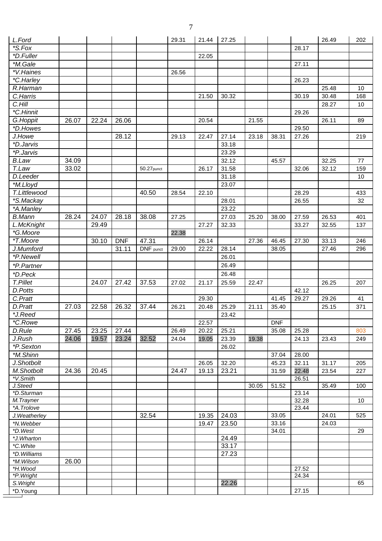| L.Ford                  |       |       |            |               | 29.31 | 21.44 | 27.25 |       |            |                | 26.49 | 202              |
|-------------------------|-------|-------|------------|---------------|-------|-------|-------|-------|------------|----------------|-------|------------------|
| *S.Fox                  |       |       |            |               |       |       |       |       |            | 28.17          |       |                  |
| *D.Fuller               |       |       |            |               |       | 22.05 |       |       |            |                |       |                  |
| *M.Gale                 |       |       |            |               |       |       |       |       |            | 27.11          |       |                  |
| *V.Haines               |       |       |            |               | 26.56 |       |       |       |            |                |       |                  |
| *C.Harley               |       |       |            |               |       |       |       |       |            | 26.23          |       |                  |
| R.Harman                |       |       |            |               |       |       |       |       |            |                | 25.48 | 10               |
| C.Harris                |       |       |            |               |       | 21.50 | 30.32 |       |            | 30.19          | 30.48 | 168              |
| C.Hill                  |       |       |            |               |       |       |       |       |            |                | 28.27 | 10               |
| *C.Hinnit               |       |       |            |               |       |       |       |       |            | 29.26          |       |                  |
| G.Hoppit                | 26.07 | 22.24 | 26.06      |               |       | 20.54 |       | 21.55 |            |                | 26.11 | 89               |
| *D.Howes                |       |       |            |               |       |       |       |       |            | 29.50          |       |                  |
| J.Howe                  |       |       | 28.12      |               | 29.13 | 22.47 | 27.14 | 23.18 | 38.31      | 27.26          |       | 219              |
| <i><b>*D.Jarvis</b></i> |       |       |            |               |       |       | 33.18 |       |            |                |       |                  |
| <i><b>*P.Jarvis</b></i> |       |       |            |               |       |       | 23.29 |       |            |                |       |                  |
|                         |       |       |            |               |       |       |       |       |            |                |       |                  |
| <b>B.Law</b>            | 34.09 |       |            |               |       |       | 32.12 |       | 45.57      |                | 32.25 | 77               |
| T.Law                   | 33.02 |       |            | $50.27$ punct |       | 26.17 | 31.58 |       |            | 32.06          | 32.12 | 159              |
| D.Leeder                |       |       |            |               |       |       | 31.18 |       |            |                |       | 10               |
| *M.Lloyd                |       |       |            |               |       |       | 23.07 |       |            |                |       |                  |
| T.Littlewood            |       |       |            | 40.50         | 28.54 | 22.10 |       |       |            | 28.29          |       | 433              |
| *S.Mackay               |       |       |            |               |       |       | 28.01 |       |            | 26.55          |       | 32               |
| *A.Manley               |       |       |            |               |       |       | 23.22 |       |            |                |       |                  |
| <b>B.Mann</b>           | 28.24 | 24.07 | 28.18      | 38.08         | 27.25 |       | 27.03 | 25.20 | 38.00      | 27.59          | 26.53 | 401              |
| L.McKnight              |       | 29.49 |            |               |       | 27.27 | 32.33 |       |            | 33.27          | 32.55 | 137              |
| *G.Moore                |       |       |            |               | 22.38 |       |       |       |            |                |       |                  |
| *T.Moore                |       | 30.10 | <b>DNF</b> | 47.31         |       | 26.14 |       | 27.36 | 46.45      | 27.30          | 33.13 | 246              |
| J.Mumford               |       |       | 31.11      | DNF punct     | 29.00 | 22.22 | 28.14 |       | 38.05      |                | 27.46 | 296              |
| *P.Newell               |       |       |            |               |       |       | 26.01 |       |            |                |       |                  |
| *P.Partner              |       |       |            |               |       |       | 26.49 |       |            |                |       |                  |
| *D.Peck                 |       |       |            |               |       |       | 26.48 |       |            |                |       |                  |
| T.Pillet                |       | 24.07 | 27.42      | 37.53         | 27.02 | 21.17 | 25.59 | 22.47 |            |                | 26.25 | 207              |
| D.Potts                 |       |       |            |               |       |       |       |       |            | 42.12          |       |                  |
|                         |       |       |            |               |       |       |       |       |            |                |       |                  |
| C.Pratt                 |       |       |            |               |       | 29.30 |       |       | 41.45      | 29.27          | 29.26 | 41               |
| D.Pratt                 | 27.03 | 22.58 | 26.32      | 37.44         | 26.21 | 20.48 | 25.29 | 21.11 | 35.40      |                | 25.15 | 371              |
| *J.Reed                 |       |       |            |               |       |       | 23.42 |       |            |                |       |                  |
| *C.Rowe                 |       |       |            |               |       | 22.57 |       |       | <b>DNF</b> |                |       |                  |
| D.Rule                  | 27.45 | 23.25 | 27.44      |               | 26.49 | 20.22 | 25.21 |       | 35.08      | 25.28          |       | 803              |
| J.Rush                  | 24.06 | 19.57 | 23.24      | 32.52         | 24.04 | 19.05 | 23.39 | 19.38 |            | 24.13          | 23.43 | 249              |
| *P.Sexton               |       |       |            |               |       |       | 26.02 |       |            |                |       |                  |
| *M.Shinn                |       |       |            |               |       |       |       |       | 37.04      | 28.00          |       |                  |
| J.Shotbolt              |       |       |            |               |       | 26.05 | 32.20 |       | 45.23      | 32.11          | 31.17 | 205              |
| M.Shotbolt              | 24.36 | 20.45 |            |               | 24.47 | 19.13 | 23.21 |       | 31.59      | 22.48          | 23.54 | 227              |
| *V.Smith                |       |       |            |               |       |       |       |       |            | 26.51          |       |                  |
| J.Steed                 |       |       |            |               |       |       |       | 30.05 | 51.52      |                | 35.49 | $\overline{1}00$ |
| *D.Sturman              |       |       |            |               |       |       |       |       |            | 23.14          |       |                  |
| M.Trayner               |       |       |            |               |       |       |       |       |            | 32.28          |       | 10               |
| *A.Trolove              |       |       |            |               |       |       |       |       |            | 23.44          |       |                  |
| J. Weatherley           |       |       |            | 32.54         |       | 19.35 | 24.03 |       | 33.05      |                | 24.01 | 525              |
| *N.Webber               |       |       |            |               |       | 19.47 | 23.50 |       | 33.16      |                | 24.03 |                  |
| *D.West                 |       |       |            |               |       |       |       |       | 34.01      |                |       | 29               |
| *J.Wharton              |       |       |            |               |       |       | 24.49 |       |            |                |       |                  |
| *C. White               |       |       |            |               |       |       | 33.17 |       |            |                |       |                  |
| *D. Williams            |       |       |            |               |       |       | 27.23 |       |            |                |       |                  |
| *M.Wilson               | 26.00 |       |            |               |       |       |       |       |            |                |       |                  |
| *H.Wood                 |       |       |            |               |       |       |       |       |            | 27.52<br>24.34 |       |                  |
| *P. Wright              |       |       |            |               |       |       |       |       |            |                |       | 65               |
| S. Wright               |       |       |            |               |       |       | 22.26 |       |            |                |       |                  |
| *D.Young                |       |       |            |               |       |       |       |       |            | 27.15          |       |                  |

 $\equiv$